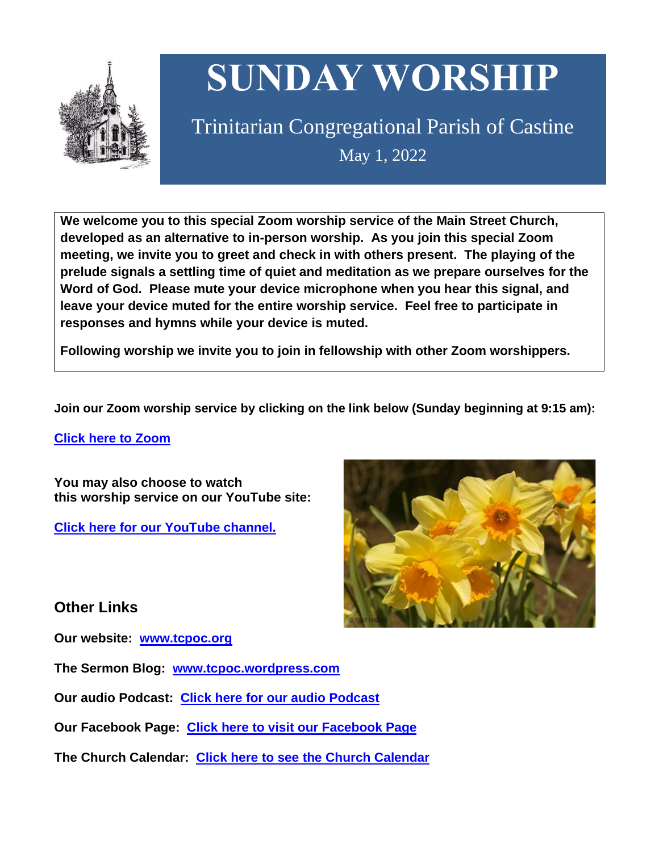

# **SUNDAY WORSHIP**

# Trinitarian Congregational Parish of Castine May 1, 2022

**We welcome you to this special Zoom worship service of the Main Street Church, developed as an alternative to in-person worship. As you join this special Zoom meeting, we invite you to greet and check in with others present. The playing of the prelude signals a settling time of quiet and meditation as we prepare ourselves for the Word of God. Please mute your device microphone when you hear this signal, and leave your device muted for the entire worship service. Feel free to participate in responses and hymns while your device is muted.**

**Following worship we invite you to join in fellowship with other Zoom worshippers.**

**Join our Zoom worship service by clicking on the link below (Sunday beginning at 9:15 am):**

**Click here to [Zoom](https://us02web.zoom.us/j/89573448511?pwd=MFRuSFBJR2NWL015RzlyZ1UycmROQT09)**

**You may also choose to watch this worship service on our YouTube site:**

**Click here for our [YouTube](https://www.youtube.com/channel/UC4Bu-O6pN-bdPOqVNg0fBxA) channel.**



# **Other Links**

**Our website: [www.tcpoc.org](http://www.tcpoc.org/)**

**The Sermon Blog: [www.tcpoc.wordpress.com](http://www.tcpoc.wordpress.com/)**

**Our audio Podcast: Click here for our audio [Podcast](https://podpoint.com/trinitarian-congregational-parish-of-castine-podcast)**

**Our Facebook Page: Click here to visit our [Facebook](https://www.facebook.com/tcpoc) Page**

**The Church Calendar: Click here to see the Church [Calendar](http://www.tcpoc.org/calendar.html)**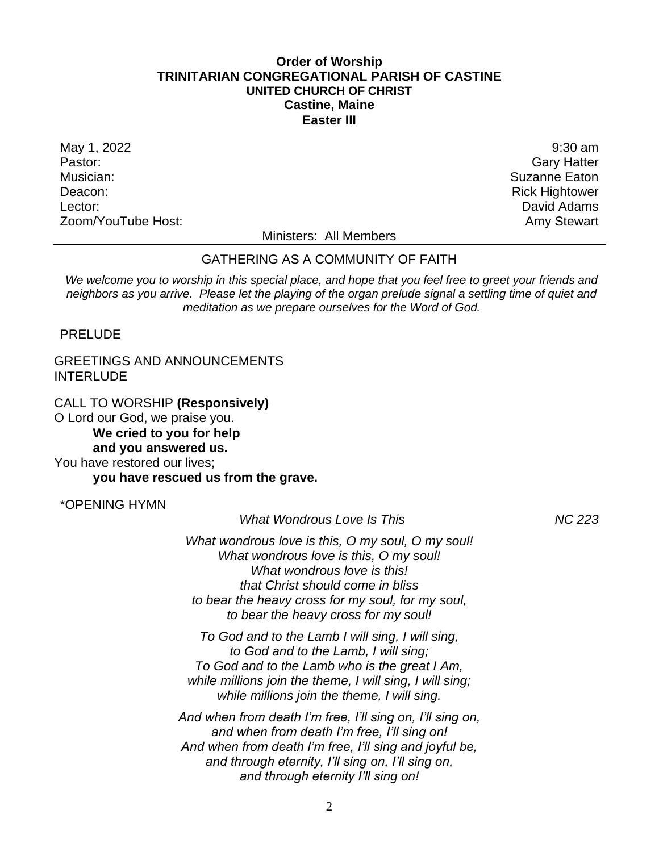#### **Order of Worship TRINITARIAN CONGREGATIONAL PARISH OF CASTINE UNITED CHURCH OF CHRIST Castine, Maine Easter III**

May 1, 2022 9:30 am and the set of the set of the set of the set of the set of the set of the set of the set of the set of the set of the set of the set of the set of the set of the set of the set of the set of the set of Pastor: Gary Hatter Musician: Suzanne Eaton Nusician: Suzanne Eaton Nusician: Suzanne Eaton Nusician: Suzanne Eaton Nusician: Suzanne Eaton Nusician: Suzanne Eaton Nusician: Suzanne Eaton Nusician: Suzanne Eaton Nusician: Suzanne Eaton Nusici Deacon: **Rick Hightower Contract Contract Contract Contract Contract Contract Contract Contract Contract Contract Contract Contract Contract Contract Contract Contract Contract Contract Contract Contract Contract Contrac** Lector: David Adams Zoom/YouTube Host: Amy Stewart Communication and Amy Stewart

Ministers: All Members

#### GATHERING AS A COMMUNITY OF FAITH

*We welcome you to worship in this special place, and hope that you feel free to greet your friends and neighbors as you arrive. Please let the playing of the organ prelude signal a settling time of quiet and meditation as we prepare ourselves for the Word of God.*

PRELUDE

### GREETINGS AND ANNOUNCEMENTS INTERLUDE

CALL TO WORSHIP **(Responsively)** O Lord our God, we praise you. **We cried to you for help and you answered us.** You have restored our lives;

**you have rescued us from the grave.**

\*OPENING HYMN

*What Wondrous Love Is This NC 223*

*What wondrous love is this, O my soul, O my soul! What wondrous love is this, O my soul! What wondrous love is this! that Christ should come in bliss to bear the heavy cross for my soul, for my soul, to bear the heavy cross for my soul!*

*To God and to the Lamb I will sing, I will sing, to God and to the Lamb, I will sing; To God and to the Lamb who is the great I Am, while millions join the theme, I will sing, I will sing; while millions join the theme, I will sing.*

*And when from death I'm free, I'll sing on, I'll sing on, and when from death I'm free, I'll sing on! And when from death I'm free, I'll sing and joyful be, and through eternity, I'll sing on, I'll sing on, and through eternity I'll sing on!*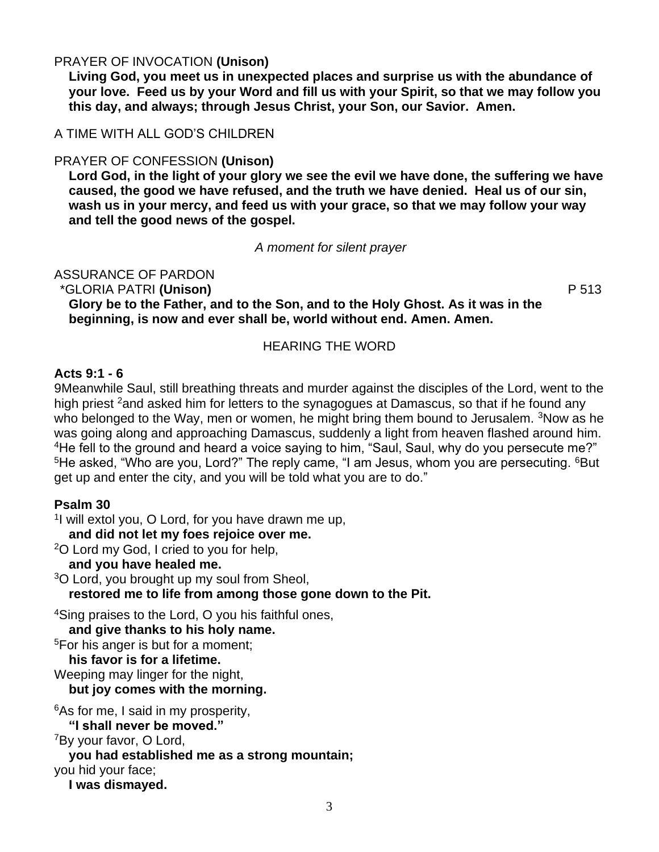# PRAYER OF INVOCATION **(Unison)**

**Living God, you meet us in unexpected places and surprise us with the abundance of your love. Feed us by your Word and fill us with your Spirit, so that we may follow you this day, and always; through Jesus Christ, your Son, our Savior. Amen.**

A TIME WITH ALL GOD'S CHILDREN

# PRAYER OF CONFESSION **(Unison)**

**Lord God, in the light of your glory we see the evil we have done, the suffering we have caused, the good we have refused, and the truth we have denied. Heal us of our sin, wash us in your mercy, and feed us with your grace, so that we may follow your way and tell the good news of the gospel.**

*A moment for silent prayer*

ASSURANCE OF PARDON

\*GLORIA PATRI **(Unison)** P 513

**Glory be to the Father, and to the Son, and to the Holy Ghost. As it was in the beginning, is now and ever shall be, world without end. Amen. Amen.**

# HEARING THE WORD

#### **Acts 9:1 - 6**

9Meanwhile Saul, still breathing threats and murder against the disciples of the Lord, went to the high priest <sup>2</sup>and asked him for letters to the synagogues at Damascus, so that if he found any who belonged to the Way, men or women, he might bring them bound to Jerusalem. <sup>3</sup>Now as he was going along and approaching Damascus, suddenly a light from heaven flashed around him. <sup>4</sup>He fell to the ground and heard a voice saying to him, "Saul, Saul, why do you persecute me?" <sup>5</sup>He asked, "Who are you, Lord?" The reply came, "I am Jesus, whom you are persecuting. <sup>6</sup>But get up and enter the city, and you will be told what you are to do."

# **Psalm 30**

<sup>1</sup>l will extol you, O Lord, for you have drawn me up,

**and did not let my foes rejoice over me.** 

<sup>2</sup>O Lord my God, I cried to you for help,

**and you have healed me.** 

<sup>3</sup>O Lord, you brought up my soul from Sheol,

**restored me to life from among those gone down to the Pit.** 

<sup>4</sup>Sing praises to the Lord, O you his faithful ones,

**and give thanks to his holy name.** 

<sup>5</sup>For his anger is but for a moment;

**his favor is for a lifetime.** 

Weeping may linger for the night, **but joy comes with the morning.** 

<sup>6</sup>As for me, I said in my prosperity,

**"I shall never be moved."** 

<sup>7</sup>By your favor, O Lord,

**you had established me as a strong mountain;** 

you hid your face;

**I was dismayed.**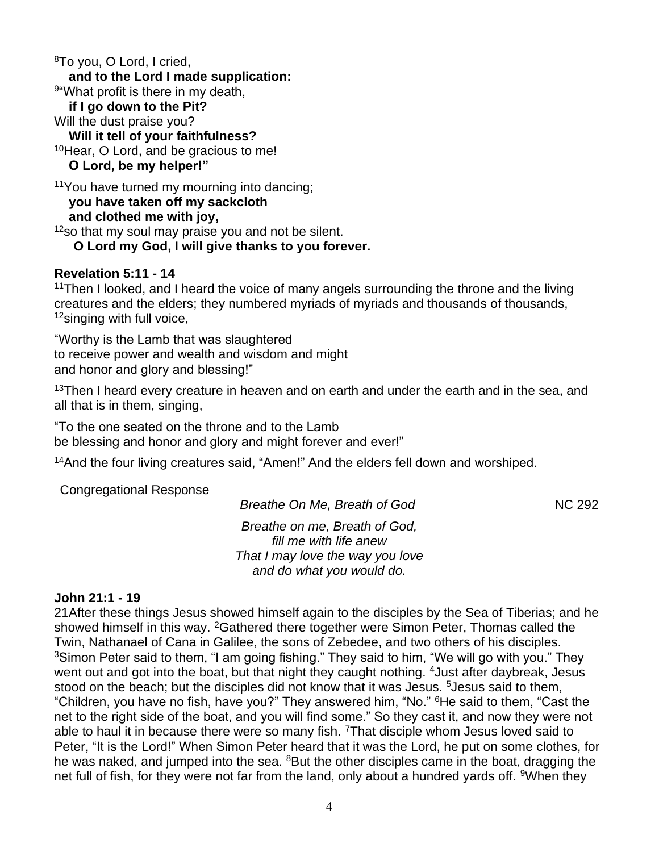<sup>8</sup>To you, O Lord, I cried, **and to the Lord I made supplication:**  9 "What profit is there in my death, **if I go down to the Pit?**  Will the dust praise you? **Will it tell of your faithfulness?**  <sup>10</sup>Hear, O Lord, and be gracious to me! **O Lord, be my helper!"**  <sup>11</sup>You have turned my mourning into dancing; **you have taken off my sackcloth** 

**and clothed me with joy,** 

 $12$ so that my soul may praise you and not be silent.

**O Lord my God, I will give thanks to you forever.**

# **Revelation 5:11 - 14**

<sup>11</sup>Then I looked, and I heard the voice of many angels surrounding the throne and the living creatures and the elders; they numbered myriads of myriads and thousands of thousands, <sup>12</sup>singing with full voice,

"Worthy is the Lamb that was slaughtered to receive power and wealth and wisdom and might and honor and glory and blessing!"

 $13$ Then I heard every creature in heaven and on earth and under the earth and in the sea, and all that is in them, singing,

"To the one seated on the throne and to the Lamb be blessing and honor and glory and might forever and ever!"

<sup>14</sup>And the four living creatures said, "Amen!" And the elders fell down and worshiped.

Congregational Response

*Breathe On Me. Breath of God* NC 292

*Breathe on me, Breath of God, fill me with life anew That I may love the way you love and do what you would do.*

# **John 21:1 - 19**

21After these things Jesus showed himself again to the disciples by the Sea of Tiberias; and he showed himself in this way. <sup>2</sup>Gathered there together were Simon Peter, Thomas called the Twin, Nathanael of Cana in Galilee, the sons of Zebedee, and two others of his disciples. <sup>3</sup>Simon Peter said to them, "I am going fishing." They said to him, "We will go with you." They went out and got into the boat, but that night they caught nothing. <sup>4</sup> Just after daybreak, Jesus stood on the beach; but the disciples did not know that it was Jesus. <sup>5</sup> Jesus said to them, "Children, you have no fish, have you?" They answered him, "No." <sup>6</sup>He said to them, "Cast the net to the right side of the boat, and you will find some." So they cast it, and now they were not able to haul it in because there were so many fish. <sup>7</sup>That disciple whom Jesus loved said to Peter, "It is the Lord!" When Simon Peter heard that it was the Lord, he put on some clothes, for he was naked, and jumped into the sea. <sup>8</sup>But the other disciples came in the boat, dragging the net full of fish, for they were not far from the land, only about a hundred yards off. <sup>9</sup>When they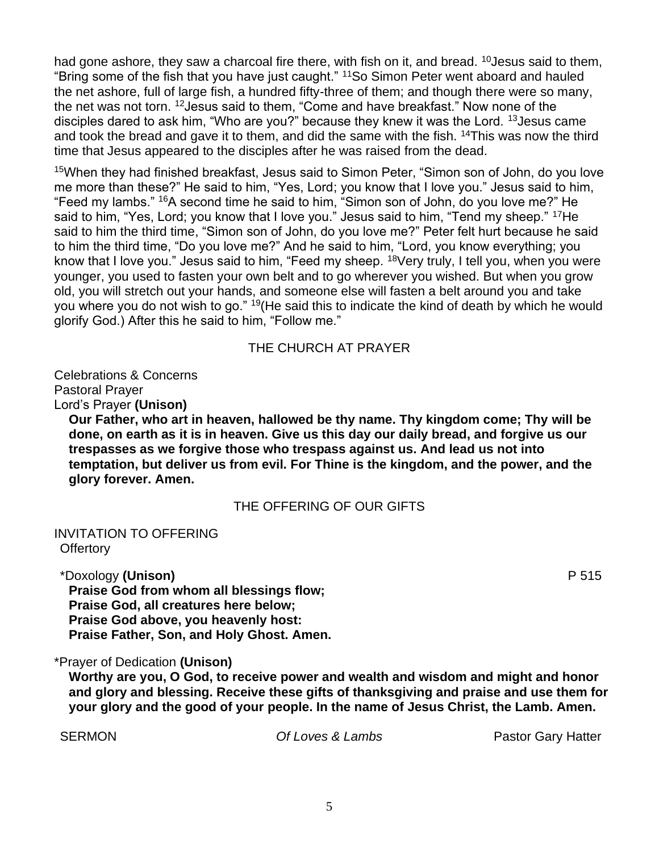had gone ashore, they saw a charcoal fire there, with fish on it, and bread.  $10$  Jesus said to them, "Bring some of the fish that you have just caught." <sup>11</sup>So Simon Peter went aboard and hauled the net ashore, full of large fish, a hundred fifty-three of them; and though there were so many, the net was not torn. <sup>12</sup>Jesus said to them, "Come and have breakfast." Now none of the disciples dared to ask him, "Who are you?" because they knew it was the Lord. <sup>13</sup>Jesus came and took the bread and gave it to them, and did the same with the fish. <sup>14</sup>This was now the third time that Jesus appeared to the disciples after he was raised from the dead.

<sup>15</sup>When they had finished breakfast, Jesus said to Simon Peter, "Simon son of John, do you love me more than these?" He said to him, "Yes, Lord; you know that I love you." Jesus said to him, "Feed my lambs." <sup>16</sup>A second time he said to him, "Simon son of John, do you love me?" He said to him, "Yes, Lord; you know that I love you." Jesus said to him, "Tend my sheep." <sup>17</sup>He said to him the third time, "Simon son of John, do you love me?" Peter felt hurt because he said to him the third time, "Do you love me?" And he said to him, "Lord, you know everything; you know that I love you." Jesus said to him, "Feed my sheep. <sup>18</sup>Very truly, I tell you, when you were younger, you used to fasten your own belt and to go wherever you wished. But when you grow old, you will stretch out your hands, and someone else will fasten a belt around you and take you where you do not wish to go." <sup>19</sup>(He said this to indicate the kind of death by which he would glorify God.) After this he said to him, "Follow me."

# THE CHURCH AT PRAYER

Celebrations & Concerns Pastoral Prayer Lord's Prayer **(Unison)**

**Our Father, who art in heaven, hallowed be thy name. Thy kingdom come; Thy will be done, on earth as it is in heaven. Give us this day our daily bread, and forgive us our trespasses as we forgive those who trespass against us. And lead us not into temptation, but deliver us from evil. For Thine is the kingdom, and the power, and the glory forever. Amen.**

# THE OFFERING OF OUR GIFTS

INVITATION TO OFFERING **Offertory** 

\*Doxology **(Unison)** P 515

**Praise God from whom all blessings flow; Praise God, all creatures here below; Praise God above, you heavenly host: Praise Father, Son, and Holy Ghost. Amen.**

#### \*Prayer of Dedication **(Unison)**

**Worthy are you, O God, to receive power and wealth and wisdom and might and honor and glory and blessing. Receive these gifts of thanksgiving and praise and use them for your glory and the good of your people. In the name of Jesus Christ, the Lamb. Amen.**

SERMON *Of Loves & Lambs* Pastor Gary Hatter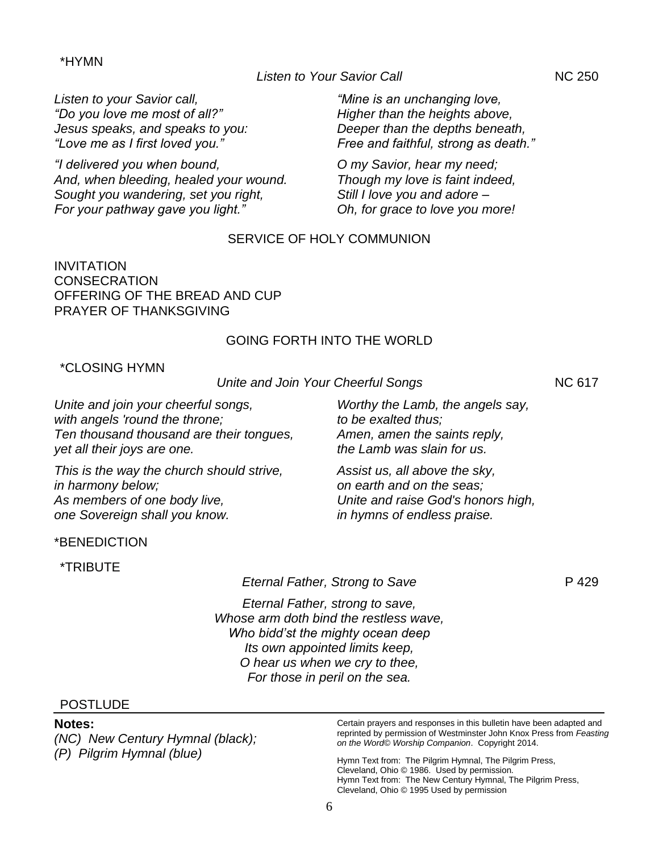#### 6

#### \*HYMN

*Listen to your Savior call, "Do you love me most of all?" Jesus speaks, and speaks to you: "Love me as I first loved you."*

*"I delivered you when bound, And, when bleeding, healed your wound. Sought you wandering, set you right, For your pathway gave you light."*

*"Mine is an unchanging love, Higher than the heights above, Deeper than the depths beneath, Free and faithful, strong as death."*

*O my Savior, hear my need; Though my love is faint indeed, Still I love you and adore – Oh, for grace to love you more!*

#### SERVICE OF HOLY COMMUNION

INVITATION **CONSECRATION** OFFERING OF THE BREAD AND CUP PRAYER OF THANKSGIVING

#### GOING FORTH INTO THE WORLD

#### \*CLOSING HYMN

*Unite and join your cheerful songs, with angels 'round the throne; Ten thousand thousand are their tongues, yet all their joys are one.*

*This is the way the church should strive, in harmony below; As members of one body live, one Sovereign shall you know.*

\*BENEDICTION

\*TRIBUTE

*Eternal Father, Strong to Save* **P** 429

*Eternal Father, strong to save, Whose arm doth bind the restless wave, Who bidd'st the mighty ocean deep Its own appointed limits keep, O hear us when we cry to thee, For those in peril on the sea.*

#### **POSTLUDE**

#### **Notes:**

*(NC) New Century Hymnal (black); (P) Pilgrim Hymnal (blue)*

Certain prayers and responses in this bulletin have been adapted and reprinted by permission of Westminster John Knox Press from *Feasting on the Word© Worship Companion*. Copyright 2014.

Hymn Text from: The Pilgrim Hymnal, The Pilgrim Press, Cleveland, Ohio © 1986. Used by permission. Hymn Text from: The New Century Hymnal, The Pilgrim Press, Cleveland, Ohio © 1995 Used by permission

*Worthy the Lamb, the angels say, to be exalted thus; Amen, amen the saints reply, the Lamb was slain for us.*

*Assist us, all above the sky, on earth and on the seas; Unite and raise God's honors high, in hymns of endless praise.*

Listen to Your Savior Call **NAC 250** 

*Unite and Join Your Cheerful Songs* NC 617